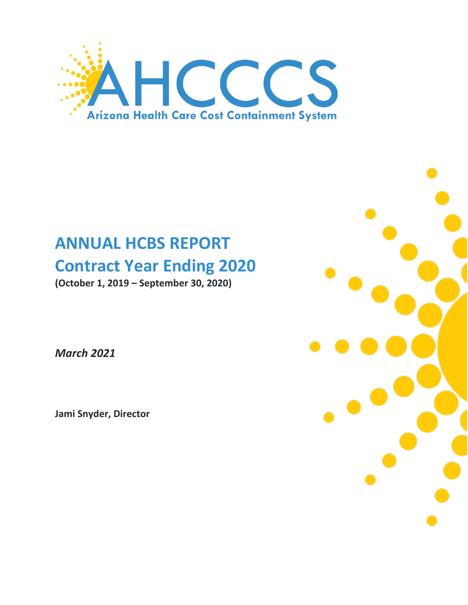

# **ANNUAL HCBS REPORT Contract Year Ending 2020**

**(October 1, 2019 – September 30, 2020)** 

*March 2021*

**Jami Snyder, Director**

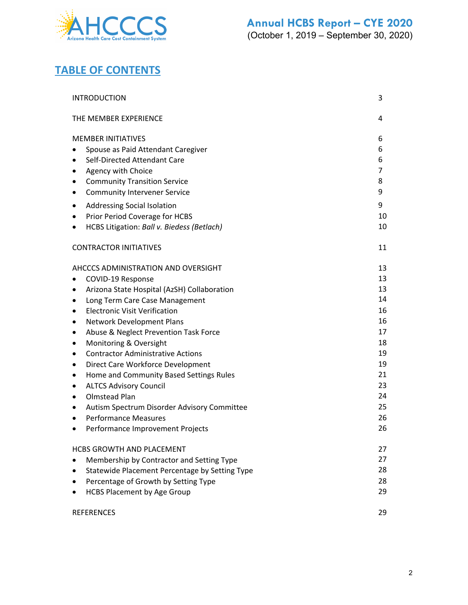

# **TABLE OF CONTENTS**

| <b>INTRODUCTION</b>                              | 3              |
|--------------------------------------------------|----------------|
| THE MEMBER EXPERIENCE                            | 4              |
| <b>MEMBER INITIATIVES</b>                        | 6              |
| Spouse as Paid Attendant Caregiver               | 6              |
| Self-Directed Attendant Care                     | 6              |
| Agency with Choice                               | $\overline{7}$ |
| <b>Community Transition Service</b><br>٠         | 8              |
| <b>Community Intervener Service</b><br>٠         | 9              |
| Addressing Social Isolation<br>٠                 | 9              |
| Prior Period Coverage for HCBS                   | 10             |
| HCBS Litigation: Ball v. Biedess (Betlach)<br>٠  | 10             |
| <b>CONTRACTOR INITIATIVES</b>                    | 11             |
| AHCCCS ADMINISTRATION AND OVERSIGHT              | 13             |
| COVID-19 Response                                | 13             |
| Arizona State Hospital (AzSH) Collaboration      | 13             |
| Long Term Care Case Management<br>٠              | 14             |
| <b>Electronic Visit Verification</b><br>٠        | 16             |
| Network Development Plans<br>٠                   | 16             |
| Abuse & Neglect Prevention Task Force<br>٠       | 17             |
| Monitoring & Oversight<br>٠                      | 18             |
| <b>Contractor Administrative Actions</b><br>٠    | 19             |
| Direct Care Workforce Development<br>٠           | 19             |
| Home and Community Based Settings Rules<br>٠     | 21             |
| <b>ALTCS Advisory Council</b><br>٠               | 23             |
| <b>Olmstead Plan</b><br>٠                        | 24             |
| Autism Spectrum Disorder Advisory Committee<br>٠ | 25             |
| <b>Performance Measures</b><br>$\bullet$         | 26             |
| Performance Improvement Projects<br>$\bullet$    | 26             |
| <b>HCBS GROWTH AND PLACEMENT</b>                 | 27             |
| Membership by Contractor and Setting Type        | 27             |
| Statewide Placement Percentage by Setting Type   | 28             |
| Percentage of Growth by Setting Type             | 28             |
| <b>HCBS Placement by Age Group</b>               | 29             |
| <b>REFERENCES</b>                                | 29             |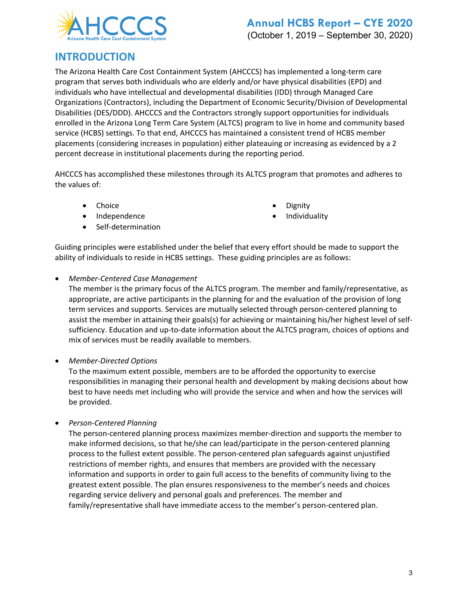

# **INTRODUCTION**

The Arizona Health Care Cost Containment System (AHCCCS) has implemented a long-term care program that serves both individuals who are elderly and/or have physical disabilities (EPD) and individuals who have intellectual and developmental disabilities (IDD) through Managed Care Organizations (Contractors), including the Department of Economic Security/Division of Developmental Disabilities (DES/DDD). AHCCCS and the Contractors strongly support opportunities for individuals enrolled in the Arizona Long Term Care System (ALTCS) program to live in home and community based service (HCBS) settings. To that end, AHCCCS has maintained a consistent trend of HCBS member placements (considering increases in population) either plateauing or increasing as evidenced by a 2 percent decrease in institutional placements during the reporting period.

AHCCCS has accomplished these milestones through its ALTCS program that promotes and adheres to the values of:

- 
- Independence Individuality
- Self-determination
- Choice Dignity
	-

Guiding principles were established under the belief that every effort should be made to support the ability of individuals to reside in HCBS settings. These guiding principles are as follows:

#### • *Member-Centered Case Management*

The member is the primary focus of the ALTCS program. The member and family/representative, as appropriate, are active participants in the planning for and the evaluation of the provision of long term services and supports. Services are mutually selected through person-centered planning to assist the member in attaining their goals(s) for achieving or maintaining his/her highest level of selfsufficiency. Education and up-to-date information about the ALTCS program, choices of options and mix of services must be readily available to members.

#### • *Member-Directed Options*

To the maximum extent possible, members are to be afforded the opportunity to exercise responsibilities in managing their personal health and development by making decisions about how best to have needs met including who will provide the service and when and how the services will be provided.

• *Person-Centered Planning*

The person-centered planning process maximizes member-direction and supports the member to make informed decisions, so that he/she can lead/participate in the person-centered planning process to the fullest extent possible. The person-centered plan safeguards against unjustified restrictions of member rights, and ensures that members are provided with the necessary information and supports in order to gain full access to the benefits of community living to the greatest extent possible. The plan ensures responsiveness to the member's needs and choices regarding service delivery and personal goals and preferences. The member and family/representative shall have immediate access to the member's person-centered plan.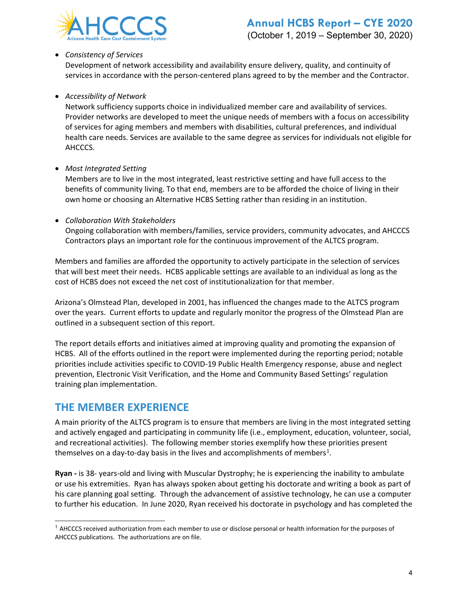

#### • *Consistency of Services*

Development of network accessibility and availability ensure delivery, quality, and continuity of services in accordance with the person-centered plans agreed to by the member and the Contractor.

#### • *Accessibility of Network*

Network sufficiency supports choice in individualized member care and availability of services. Provider networks are developed to meet the unique needs of members with a focus on accessibility of services for aging members and members with disabilities, cultural preferences, and individual health care needs. Services are available to the same degree as services for individuals not eligible for AHCCCS.

• *Most Integrated Setting*

Members are to live in the most integrated, least restrictive setting and have full access to the benefits of community living. To that end, members are to be afforded the choice of living in their own home or choosing an Alternative HCBS Setting rather than residing in an institution.

#### • *Collaboration With Stakeholders*

Ongoing collaboration with members/families, service providers, community advocates, and AHCCCS Contractors plays an important role for the continuous improvement of the ALTCS program.

Members and families are afforded the opportunity to actively participate in the selection of services that will best meet their needs. HCBS applicable settings are available to an individual as long as the cost of HCBS does not exceed the net cost of institutionalization for that member.

Arizona's Olmstead Plan, developed in 2001, has influenced the changes made to the ALTCS program over the years. Current efforts to update and regularly monitor the progress of the Olmstead Plan are outlined in a subsequent section of this report.

The report details efforts and initiatives aimed at improving quality and promoting the expansion of HCBS. All of the efforts outlined in the report were implemented during the reporting period; notable priorities include activities specific to COVID-19 Public Health Emergency response, abuse and neglect prevention, Electronic Visit Verification, and the Home and Community Based Settings' regulation training plan implementation.

## **THE MEMBER EXPERIENCE**

A main priority of the ALTCS program is to ensure that members are living in the most integrated setting and actively engaged and participating in community life (i.e., employment, education, volunteer, social, and recreational activities). The following member stories exemplify how these priorities present themselves on a day-to-day basis in the lives and accomplishments of members<sup>[1](#page-3-0)</sup>.

**Ryan -** is 38- years-old and living with Muscular Dystrophy; he is experiencing the inability to ambulate or use his extremities. Ryan has always spoken about getting his doctorate and writing a book as part of his care planning goal setting. Through the advancement of assistive technology, he can use a computer to further his education. In June 2020, Ryan received his doctorate in psychology and has completed the

<span id="page-3-0"></span> $<sup>1</sup>$  AHCCCS received authorization from each member to use or disclose personal or health information for the purposes of</sup> AHCCCS publications. The authorizations are on file.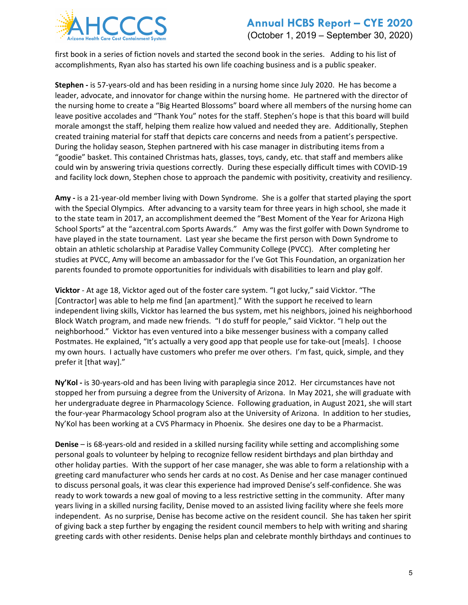

first book in a series of fiction novels and started the second book in the series. Adding to his list of accomplishments, Ryan also has started his own life coaching business and is a public speaker.

**Stephen -** is 57-years-old and has been residing in a nursing home since July 2020. He has become a leader, advocate, and innovator for change within the nursing home. He partnered with the director of the nursing home to create a "Big Hearted Blossoms" board where all members of the nursing home can leave positive accolades and "Thank You" notes for the staff. Stephen's hope is that this board will build morale amongst the staff, helping them realize how valued and needed they are. Additionally, Stephen created training material for staff that depicts care concerns and needs from a patient's perspective. During the holiday season, Stephen partnered with his case manager in distributing items from a "goodie" basket. This contained Christmas hats, glasses, toys, candy, etc. that staff and members alike could win by answering trivia questions correctly. During these especially difficult times with COVID-19 and facility lock down, Stephen chose to approach the pandemic with positivity, creativity and resiliency.

**Amy -** is a 21-year-old member living with Down Syndrome. She is a golfer that started playing the sport with the Special Olympics. After advancing to a varsity team for three years in high school, she made it to the state team in 2017, an accomplishment deemed the "Best Moment of the Year for Arizona High School Sports" at the "azcentral.com Sports Awards." Amy was the first golfer with Down Syndrome to have played in the state tournament. Last year she became the first person with Down Syndrome to obtain an athletic scholarship at Paradise Valley Community College (PVCC). After completing her studies at PVCC, Amy will become an ambassador for the I've Got This Foundation, an organization her parents founded to promote opportunities for individuals with disabilities to learn and play golf.

**Vicktor** - At age 18, Vicktor aged out of the foster care system. "I got lucky," said Vicktor. "The [Contractor] was able to help me find [an apartment]." With the support he received to learn independent living skills, Vicktor has learned the bus system, met his neighbors, joined his neighborhood Block Watch program, and made new friends. "I do stuff for people," said Vicktor. "I help out the neighborhood." Vicktor has even ventured into a bike messenger business with a company called Postmates. He explained, "It's actually a very good app that people use for take-out [meals]. I choose my own hours. I actually have customers who prefer me over others. I'm fast, quick, simple, and they prefer it [that way]."

**Ny'Kol -** is 30-years-old and has been living with paraplegia since 2012. Her circumstances have not stopped her from pursuing a degree from the University of Arizona. In May 2021, she will graduate with her undergraduate degree in Pharmacology Science. Following graduation, in August 2021, she will start the four-year Pharmacology School program also at the University of Arizona. In addition to her studies, Ny'Kol has been working at a CVS Pharmacy in Phoenix. She desires one day to be a Pharmacist.

**Denise** – is 68-years-old and resided in a skilled nursing facility while setting and accomplishing some personal goals to volunteer by helping to recognize fellow resident birthdays and plan birthday and other holiday parties. With the support of her case manager, she was able to form a relationship with a greeting card manufacturer who sends her cards at no cost. As Denise and her case manager continued to discuss personal goals, it was clear this experience had improved Denise's self-confidence. She was ready to work towards a new goal of moving to a less restrictive setting in the community. After many years living in a skilled nursing facility, Denise moved to an assisted living facility where she feels more independent. As no surprise, Denise has become active on the resident council. She has taken her spirit of giving back a step further by engaging the resident council members to help with writing and sharing greeting cards with other residents. Denise helps plan and celebrate monthly birthdays and continues to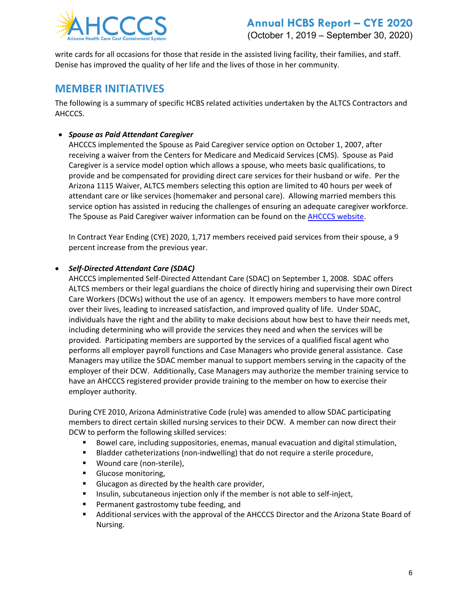

write cards for all occasions for those that reside in the assisted living facility, their families, and staff. Denise has improved the quality of her life and the lives of those in her community.

## **MEMBER INITIATIVES**

The following is a summary of specific HCBS related activities undertaken by the ALTCS Contractors and AHCCCS.

#### • *Spouse as Paid Attendant Caregiver*

AHCCCS implemented the Spouse as Paid Caregiver service option on October 1, 2007, after receiving a waiver from the Centers for Medicare and Medicaid Services (CMS). Spouse as Paid Caregiver is a service model option which allows a spouse, who meets basic qualifications, to provide and be compensated for providing direct care services for their husband or wife. Per the Arizona 1115 Waiver, ALTCS members selecting this option are limited to 40 hours per week of attendant care or like services (homemaker and personal care). Allowing married members this service option has assisted in reducing the challenges of ensuring an adequate caregiver workforce. The Spouse as Paid Caregiver waiver information can be found on the **AHCCCS website**.

In Contract Year Ending (CYE) 2020, 1,717 members received paid services from their spouse, a 9 percent increase from the previous year.

#### • *Self-Directed Attendant Care (SDAC)*

AHCCCS implemented Self-Directed Attendant Care (SDAC) on September 1, 2008. SDAC offers ALTCS members or their legal guardians the choice of directly hiring and supervising their own Direct Care Workers (DCWs) without the use of an agency. It empowers members to have more control over their lives, leading to increased satisfaction, and improved quality of life. Under SDAC, individuals have the right and the ability to make decisions about how best to have their needs met, including determining who will provide the services they need and when the services will be provided. Participating members are supported by the services of a qualified fiscal agent who performs all employer payroll functions and Case Managers who provide general assistance. Case Managers may utilize the SDAC member manual to support members serving in the capacity of the employer of their DCW. Additionally, Case Managers may authorize the member training service to have an AHCCCS registered provider provide training to the member on how to exercise their employer authority.

During CYE 2010, Arizona Administrative Code (rule) was amended to allow SDAC participating members to direct certain skilled nursing services to their DCW. A member can now direct their DCW to perform the following skilled services:

- Bowel care, including suppositories, enemas, manual evacuation and digital stimulation,
- **Bladder catheterizations (non-indwelling) that do not require a sterile procedure,**
- **Wound care (non-sterile),**
- **Glucose monitoring,**
- Glucagon as directed by the health care provider,
- **Insulin, subcutaneous injection only if the member is not able to self-inject,**
- Permanent gastrostomy tube feeding, and
- Additional services with the approval of the AHCCCS Director and the Arizona State Board of Nursing.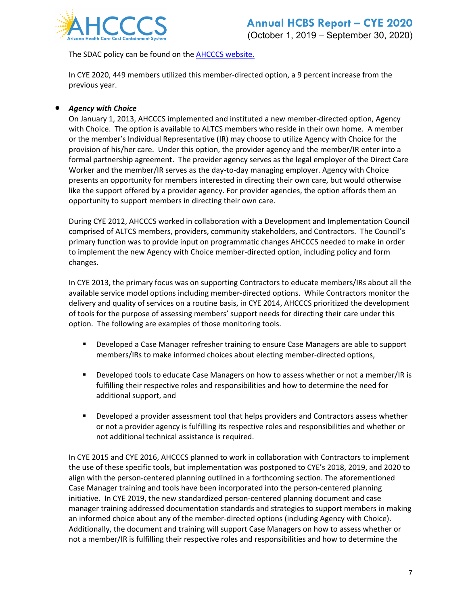

The SDAC policy can be found on the **AHCCCS website.** 

In CYE 2020, 449 members utilized this member-directed option, a 9 percent increase from the previous year.

#### • *Agency with Choice*

On January 1, 2013, AHCCCS implemented and instituted a new member-directed option, Agency with Choice. The option is available to ALTCS members who reside in their own home. A member or the member's Individual Representative (IR) may choose to utilize Agency with Choice for the provision of his/her care. Under this option, the provider agency and the member/IR enter into a formal partnership agreement. The provider agency serves as the legal employer of the Direct Care Worker and the member/IR serves as the day-to-day managing employer. Agency with Choice presents an opportunity for members interested in directing their own care, but would otherwise like the support offered by a provider agency. For provider agencies, the option affords them an opportunity to support members in directing their own care.

During CYE 2012, AHCCCS worked in collaboration with a Development and Implementation Council comprised of ALTCS members, providers, community stakeholders, and Contractors. The Council's primary function was to provide input on programmatic changes AHCCCS needed to make in order to implement the new Agency with Choice member-directed option, including policy and form changes.

In CYE 2013, the primary focus was on supporting Contractors to educate members/IRs about all the available service model options including member-directed options. While Contractors monitor the delivery and quality of services on a routine basis, in CYE 2014, AHCCCS prioritized the development of tools for the purpose of assessing members' support needs for directing their care under this option. The following are examples of those monitoring tools.

- **Developed a Case Manager refresher training to ensure Case Managers are able to support** members/IRs to make informed choices about electing member-directed options,
- **Physion Exercise 1** Developed tools to educate Case Managers on how to assess whether or not a member/IR is fulfilling their respective roles and responsibilities and how to determine the need for additional support, and
- **PHI** Developed a provider assessment tool that helps providers and Contractors assess whether or not a provider agency is fulfilling its respective roles and responsibilities and whether or not additional technical assistance is required.

In CYE 2015 and CYE 2016, AHCCCS planned to work in collaboration with Contractors to implement the use of these specific tools, but implementation was postponed to CYE's 2018, 2019, and 2020 to align with the person-centered planning outlined in a forthcoming section. The aforementioned Case Manager training and tools have been incorporated into the person-centered planning initiative. In CYE 2019, the new standardized person-centered planning document and case manager training addressed documentation standards and strategies to support members in making an informed choice about any of the member-directed options (including Agency with Choice). Additionally, the document and training will support Case Managers on how to assess whether or not a member/IR is fulfilling their respective roles and responsibilities and how to determine the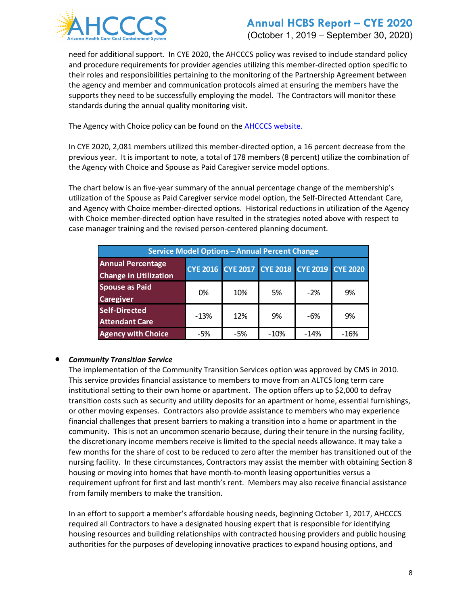

### **Annual HCBS Report – CYE 2020** (October 1, 2019 – September 30, 2020)

need for additional support. In CYE 2020, the AHCCCS policy was revised to include standard policy and procedure requirements for provider agencies utilizing this member-directed option specific to their roles and responsibilities pertaining to the monitoring of the Partnership Agreement between the agency and member and communication protocols aimed at ensuring the members have the supports they need to be successfully employing the model. The Contractors will monitor these standards during the annual quality monitoring visit.

The Agency with Choice policy can be found on the **AHCCCS website.** 

In CYE 2020, 2,081 members utilized this member-directed option, a 16 percent decrease from the previous year. It is important to note, a total of 178 members (8 percent) utilize the combination of the Agency with Choice and Spouse as Paid Caregiver service model options.

The chart below is an five-year summary of the annual percentage change of the membership's utilization of the Spouse as Paid Caregiver service model option, the Self-Directed Attendant Care, and Agency with Choice member-directed options. Historical reductions in utilization of the Agency with Choice member-directed option have resulted in the strategies noted above with respect to case manager training and the revised person-centered planning document.

| <b>Service Model Options - Annual Percent Change</b>     |        |                                     |        |        |                 |
|----------------------------------------------------------|--------|-------------------------------------|--------|--------|-----------------|
| <b>Annual Percentage</b><br><b>Change in Utilization</b> |        | CYE 2016 CYE 2017 CYE 2018 CYE 2019 |        |        | <b>CYE 2020</b> |
| <b>Spouse as Paid</b><br><b>Caregiver</b>                | 0%     | 10%                                 | 5%     | $-2%$  | 9%              |
| <b>Self-Directed</b><br><b>Attendant Care</b>            | $-13%$ | 12%                                 | 9%     | -6%    | 9%              |
| <b>Agency with Choice</b>                                | -5%    | $-5%$                               | $-10%$ | $-14%$ | $-16%$          |

#### • *Community Transition Service*

The implementation of the Community Transition Services option was approved by CMS in 2010. This service provides financial assistance to members to move from an ALTCS long term care institutional setting to their own home or apartment. The option offers up to \$2,000 to defray transition costs such as security and utility deposits for an apartment or home, essential furnishings, or other moving expenses. Contractors also provide assistance to members who may experience financial challenges that present barriers to making a transition into a home or apartment in the community. This is not an uncommon scenario because, during their tenure in the nursing facility, the discretionary income members receive is limited to the special needs allowance. It may take a few months for the share of cost to be reduced to zero after the member has transitioned out of the nursing facility. In these circumstances, Contractors may assist the member with obtaining Section 8 housing or moving into homes that have month-to-month leasing opportunities versus a requirement upfront for first and last month's rent. Members may also receive financial assistance from family members to make the transition.

In an effort to support a member's affordable housing needs, beginning October 1, 2017, AHCCCS required all Contractors to have a designated housing expert that is responsible for identifying housing resources and building relationships with contracted housing providers and public housing authorities for the purposes of developing innovative practices to expand housing options, and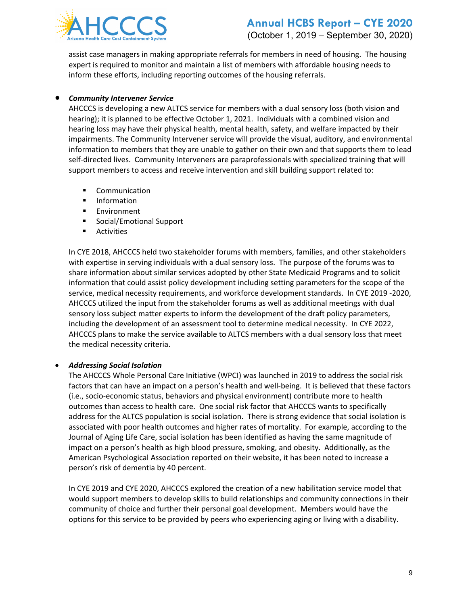

assist case managers in making appropriate referrals for members in need of housing. The housing expert is required to monitor and maintain a list of members with affordable housing needs to inform these efforts, including reporting outcomes of the housing referrals.

#### • *Community Intervener Service*

AHCCCS is developing a new ALTCS service for members with a dual sensory loss (both vision and hearing); it is planned to be effective October 1, 2021. Individuals with a combined vision and hearing loss may have their physical health, mental health, safety, and welfare impacted by their impairments. The Community Intervener service will provide the visual, auditory, and environmental information to members that they are unable to gather on their own and that supports them to lead self-directed lives. Community Interveners are paraprofessionals with specialized training that will support members to access and receive intervention and skill building support related to:

- **•** Communication
- **Information**
- **Environment**
- **Social/Emotional Support**
- **Activities**

In CYE 2018, AHCCCS held two stakeholder forums with members, families, and other stakeholders with expertise in serving individuals with a dual sensory loss. The purpose of the forums was to share information about similar services adopted by other State Medicaid Programs and to solicit information that could assist policy development including setting parameters for the scope of the service, medical necessity requirements, and workforce development standards. In CYE 2019 -2020, AHCCCS utilized the input from the stakeholder forums as well as additional meetings with dual sensory loss subject matter experts to inform the development of the draft policy parameters, including the development of an assessment tool to determine medical necessity. In CYE 2022, AHCCCS plans to make the service available to ALTCS members with a dual sensory loss that meet the medical necessity criteria.

#### • *Addressing Social Isolation*

The AHCCCS Whole Personal Care Initiative (WPCI) was launched in 2019 to address the social risk factors that can have an impact on a person's health and well-being. It is believed that these factors (i.e., socio-economic status, behaviors and physical environment) contribute more to health outcomes than access to health care. One social risk factor that AHCCCS wants to specifically address for the ALTCS population is social isolation. There is strong evidence that social isolation is associated with poor health outcomes and higher rates of mortality. For example, according to the Journal of Aging Life Care, social isolation has been identified as having the same magnitude of impact on a person's health as high blood pressure, smoking, and obesity. Additionally, as the American Psychological Association reported on their website, it has been noted to increase a person's risk of dementia by 40 percent.

In CYE 2019 and CYE 2020, AHCCCS explored the creation of a new habilitation service model that would support members to develop skills to build relationships and community connections in their community of choice and further their personal goal development. Members would have the options for this service to be provided by peers who experiencing aging or living with a disability.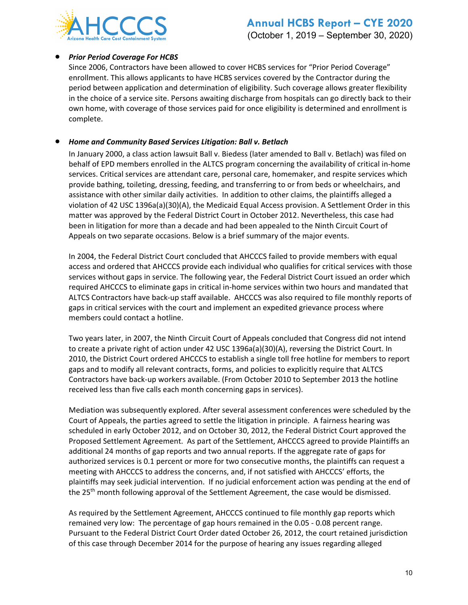

#### • *Prior Period Coverage For HCBS*

Since 2006, Contractors have been allowed to cover HCBS services for "Prior Period Coverage" enrollment. This allows applicants to have HCBS services covered by the Contractor during the period between application and determination of eligibility. Such coverage allows greater flexibility in the choice of a service site. Persons awaiting discharge from hospitals can go directly back to their own home, with coverage of those services paid for once eligibility is determined and enrollment is complete.

#### • *Home and Community Based Services Litigation: Ball v. Betlach*

In January 2000, a class action lawsuit Ball v. Biedess (later amended to Ball v. Betlach) was filed on behalf of EPD members enrolled in the ALTCS program concerning the availability of critical in-home services. Critical services are attendant care, personal care, homemaker, and respite services which provide bathing, toileting, dressing, feeding, and transferring to or from beds or wheelchairs, and assistance with other similar daily activities. In addition to other claims, the plaintiffs alleged a violation of 42 USC 1396a(a)(30)(A), the Medicaid Equal Access provision. A Settlement Order in this matter was approved by the Federal District Court in October 2012. Nevertheless, this case had been in litigation for more than a decade and had been appealed to the Ninth Circuit Court of Appeals on two separate occasions. Below is a brief summary of the major events.

In 2004, the Federal District Court concluded that AHCCCS failed to provide members with equal access and ordered that AHCCCS provide each individual who qualifies for critical services with those services without gaps in service. The following year, the Federal District Court issued an order which required AHCCCS to eliminate gaps in critical in-home services within two hours and mandated that ALTCS Contractors have back-up staff available. AHCCCS was also required to file monthly reports of gaps in critical services with the court and implement an expedited grievance process where members could contact a hotline.

Two years later, in 2007, the Ninth Circuit Court of Appeals concluded that Congress did not intend to create a private right of action under 42 USC 1396a(a)(30)(A), reversing the District Court. In 2010, the District Court ordered AHCCCS to establish a single toll free hotline for members to report gaps and to modify all relevant contracts, forms, and policies to explicitly require that ALTCS Contractors have back-up workers available. (From October 2010 to September 2013 the hotline received less than five calls each month concerning gaps in services).

Mediation was subsequently explored. After several assessment conferences were scheduled by the Court of Appeals, the parties agreed to settle the litigation in principle. A fairness hearing was scheduled in early October 2012, and on October 30, 2012, the Federal District Court approved the Proposed Settlement Agreement. As part of the Settlement, AHCCCS agreed to provide Plaintiffs an additional 24 months of gap reports and two annual reports. If the aggregate rate of gaps for authorized services is 0.1 percent or more for two consecutive months, the plaintiffs can request a meeting with AHCCCS to address the concerns, and, if not satisfied with AHCCCS' efforts, the plaintiffs may seek judicial intervention. If no judicial enforcement action was pending at the end of the 25<sup>th</sup> month following approval of the Settlement Agreement, the case would be dismissed.

As required by the Settlement Agreement, AHCCCS continued to file monthly gap reports which remained very low: The percentage of gap hours remained in the 0.05 - 0.08 percent range. Pursuant to the Federal District Court Order dated October 26, 2012, the court retained jurisdiction of this case through December 2014 for the purpose of hearing any issues regarding alleged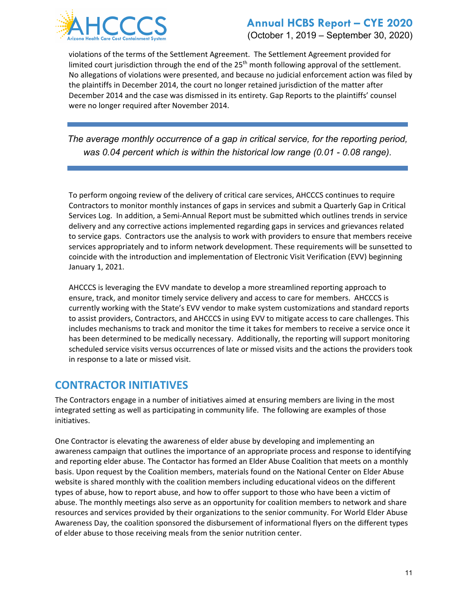

(October 1, 2019 – September 30, 2020)

violations of the terms of the Settlement Agreement. The Settlement Agreement provided for limited court jurisdiction through the end of the  $25<sup>th</sup>$  month following approval of the settlement. No allegations of violations were presented, and because no judicial enforcement action was filed by the plaintiffs in December 2014, the court no longer retained jurisdiction of the matter after December 2014 and the case was dismissed in its entirety. Gap Reports to the plaintiffs' counsel were no longer required after November 2014.

*The average monthly occurrence of a gap in critical service, for the reporting period, was 0.04 percent which is within the historical low range (0.01 - 0.08 range).* 

To perform ongoing review of the delivery of critical care services, AHCCCS continues to require Contractors to monitor monthly instances of gaps in services and submit a Quarterly Gap in Critical Services Log. In addition, a Semi-Annual Report must be submitted which outlines trends in service delivery and any corrective actions implemented regarding gaps in services and grievances related to service gaps. Contractors use the analysis to work with providers to ensure that members receive services appropriately and to inform network development. These requirements will be sunsetted to coincide with the introduction and implementation of Electronic Visit Verification (EVV) beginning January 1, 2021.

AHCCCS is leveraging the EVV mandate to develop a more streamlined reporting approach to ensure, track, and monitor timely service delivery and access to care for members. AHCCCS is currently working with the State's EVV vendor to make system customizations and standard reports to assist providers, Contractors, and AHCCCS in using EVV to mitigate access to care challenges. This includes mechanisms to track and monitor the time it takes for members to receive a service once it has been determined to be medically necessary. Additionally, the reporting will support monitoring scheduled service visits versus occurrences of late or missed visits and the actions the providers took in response to a late or missed visit.

# **CONTRACTOR INITIATIVES**

The Contractors engage in a number of initiatives aimed at ensuring members are living in the most integrated setting as well as participating in community life. The following are examples of those initiatives.

One Contractor is elevating the awareness of elder abuse by developing and implementing an awareness campaign that outlines the importance of an appropriate process and response to identifying and reporting elder abuse. The Contactor has formed an Elder Abuse Coalition that meets on a monthly basis. Upon request by the Coalition members, materials found on the National Center on Elder Abuse website is shared monthly with the coalition members including educational videos on the different types of abuse, how to report abuse, and how to offer support to those who have been a victim of abuse. The monthly meetings also serve as an opportunity for coalition members to network and share resources and services provided by their organizations to the senior community. For World Elder Abuse Awareness Day, the coalition sponsored the disbursement of informational flyers on the different types of elder abuse to those receiving meals from the senior nutrition center.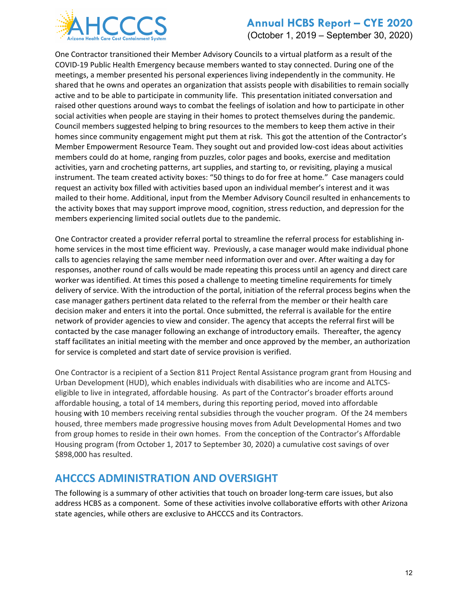

(October 1, 2019 – September 30, 2020)

One Contractor transitioned their Member Advisory Councils to a virtual platform as a result of the COVID-19 Public Health Emergency because members wanted to stay connected. During one of the meetings, a member presented his personal experiences living independently in the community. He shared that he owns and operates an organization that assists people with disabilities to remain socially active and to be able to participate in community life. This presentation initiated conversation and raised other questions around ways to combat the feelings of isolation and how to participate in other social activities when people are staying in their homes to protect themselves during the pandemic. Council members suggested helping to bring resources to the members to keep them active in their homes since community engagement might put them at risk. This got the attention of the Contractor's Member Empowerment Resource Team. They sought out and provided low-cost ideas about activities members could do at home, ranging from puzzles, color pages and books, exercise and meditation activities, yarn and crocheting patterns, art supplies, and starting to, or revisiting, playing a musical instrument. The team created activity boxes: "50 things to do for free at home*.*" Case managers could request an activity box filled with activities based upon an individual member's interest and it was mailed to their home. Additional, input from the Member Advisory Council resulted in enhancements to the activity boxes that may support improve mood, cognition, stress reduction, and depression for the members experiencing limited social outlets due to the pandemic.

One Contractor created a provider referral portal to streamline the referral process for establishing inhome services in the most time efficient way. Previously, a case manager would make individual phone calls to agencies relaying the same member need information over and over. After waiting a day for responses, another round of calls would be made repeating this process until an agency and direct care worker was identified. At times this posed a challenge to meeting timeline requirements for timely delivery of service. With the introduction of the portal, initiation of the referral process begins when the case manager gathers pertinent data related to the referral from the member or their health care decision maker and enters it into the portal. Once submitted, the referral is available for the entire network of provider agencies to view and consider. The agency that accepts the referral first will be contacted by the case manager following an exchange of introductory emails. Thereafter, the agency staff facilitates an initial meeting with the member and once approved by the member, an authorization for service is completed and start date of service provision is verified.

One Contractor is a recipient of a Section 811 Project Rental Assistance program grant from Housing and Urban Development (HUD), which enables individuals with disabilities who are income and ALTCSeligible to live in integrated, affordable housing. As part of the Contractor's broader efforts around affordable housing, a total of 14 members, during this reporting period, moved into affordable housing with 10 members receiving rental subsidies through the voucher program. Of the 24 members housed, three members made progressive housing moves from Adult Developmental Homes and two from group homes to reside in their own homes. From the conception of the Contractor's Affordable Housing program (from October 1, 2017 to September 30, 2020) a cumulative cost savings of over \$898,000 has resulted.

## **AHCCCS ADMINISTRATION AND OVERSIGHT**

The following is a summary of other activities that touch on broader long-term care issues, but also address HCBS as a component. Some of these activities involve collaborative efforts with other Arizona state agencies, while others are exclusive to AHCCCS and its Contractors.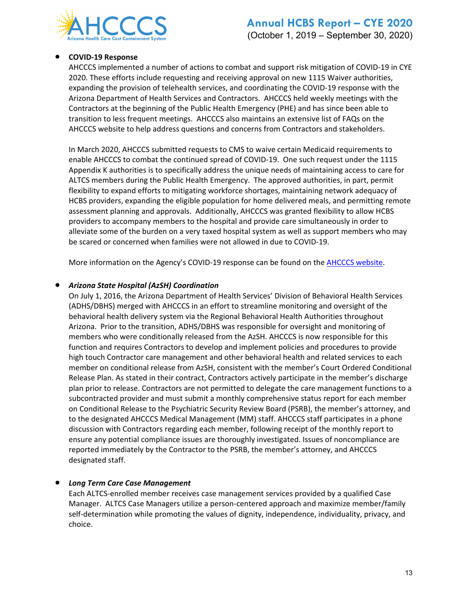

#### • **COVID-19 Response**

AHCCCS implemented a number of actions to combat and support risk mitigation of COVID-19 in CYE 2020. These efforts include requesting and receiving approval on new 1115 Waiver authorities, expanding the provision of telehealth services, and coordinating the COVID-19 response with the Arizona Department of Health Services and Contractors. AHCCCS held weekly meetings with the Contractors at the beginning of the Public Health Emergency (PHE) and has since been able to transition to less frequent meetings. AHCCCS also maintains an extensive list of FAQs on the AHCCCS website to help address questions and concerns from Contractors and stakeholders.

In March 2020, AHCCCS submitted requests to CMS to waive certain Medicaid requirements to enable AHCCCS to combat the continued spread of COVID-19. One such request under the 1115 Appendix K authorities is to specifically address the unique needs of maintaining access to care for ALTCS members during the Public Health Emergency. The approved authorities, in part, permit flexibility to expand efforts to mitigating workforce shortages, maintaining network adequacy of HCBS providers, expanding the eligible population for home delivered meals, and permitting remote assessment planning and approvals. Additionally, AHCCCS was granted flexibility to allow HCBS providers to accompany members to the hospital and provide care simultaneously in order to alleviate some of the burden on a very taxed hospital system as well as support members who may be scared or concerned when families were not allowed in due to COVID-19.

More information on the Agency's COVID-19 response can be found on th[e AHCCCS website.](https://azahcccs.gov/AHCCCS/AboutUs/covid19.html)

#### • *Arizona State Hospital (AzSH) Coordination*

On July 1, 2016, the Arizona Department of Health Services' Division of Behavioral Health Services (ADHS/DBHS) merged with AHCCCS in an effort to streamline monitoring and oversight of the behavioral health delivery system via the Regional Behavioral Health Authorities throughout Arizona. Prior to the transition, ADHS/DBHS was responsible for oversight and monitoring of members who were conditionally released from the AzSH. AHCCCS is now responsible for this function and requires Contractors to develop and implement policies and procedures to provide high touch Contractor care management and other behavioral health and related services to each member on conditional release from AzSH, consistent with the member's Court Ordered Conditional Release Plan. As stated in their contract, Contractors actively participate in the member's discharge plan prior to release. Contractors are not permitted to delegate the care management functions to a subcontracted provider and must submit a monthly comprehensive status report for each member on Conditional Release to the Psychiatric Security Review Board (PSRB), the member's attorney, and to the designated AHCCCS Medical Management (MM) staff. AHCCCS staff participates in a phone discussion with Contractors regarding each member, following receipt of the monthly report to ensure any potential compliance issues are thoroughly investigated. Issues of noncompliance are reported immediately by the Contractor to the PSRB, the member's attorney, and AHCCCS designated staff.

#### • *Long Term Care Case Management*

Each ALTCS-enrolled member receives case management services provided by a qualified Case Manager. ALTCS Case Managers utilize a person-centered approach and maximize member/family self-determination while promoting the values of dignity, independence, individuality, privacy, and choice.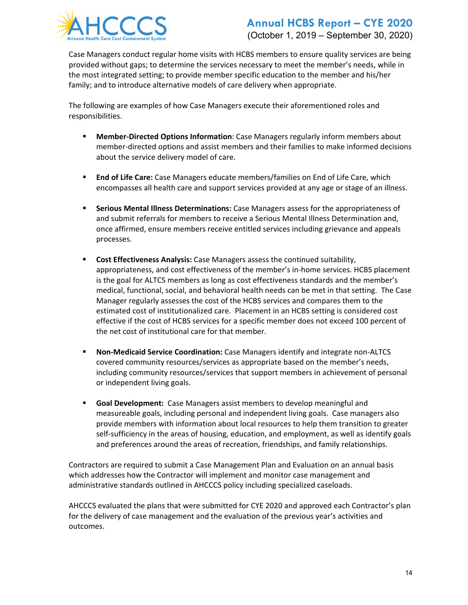

# **Annual HCBS Report – CYE 2020** (October 1, 2019 – September 30, 2020)

Case Managers conduct regular home visits with HCBS members to ensure quality services are being provided without gaps; to determine the services necessary to meet the member's needs, while in the most integrated setting; to provide member specific education to the member and his/her family; and to introduce alternative models of care delivery when appropriate.

The following are examples of how Case Managers execute their aforementioned roles and responsibilities.

- **Member-Directed Options Information**: Case Managers regularly inform members about member-directed options and assist members and their families to make informed decisions about the service delivery model of care.
- **End of Life Care:** Case Managers educate members/families on End of Life Care, which encompasses all health care and support services provided at any age or stage of an illness.
- **Serious Mental Illness Determinations:** Case Managers assess for the appropriateness of and submit referrals for members to receive a Serious Mental Illness Determination and, once affirmed, ensure members receive entitled services including grievance and appeals processes.
- **Cost Effectiveness Analysis:** Case Managers assess the continued suitability, appropriateness, and cost effectiveness of the member's in-home services. HCBS placement is the goal for ALTCS members as long as cost effectiveness standards and the member's medical, functional, social, and behavioral health needs can be met in that setting. The Case Manager regularly assesses the cost of the HCBS services and compares them to the estimated cost of institutionalized care. Placement in an HCBS setting is considered cost effective if the cost of HCBS services for a specific member does not exceed 100 percent of the net cost of institutional care for that member.
- **Non-Medicaid Service Coordination:** Case Managers identify and integrate non-ALTCS covered community resources/services as appropriate based on the member's needs, including community resources/services that support members in achievement of personal or independent living goals.
- **Goal Development:** Case Managers assist members to develop meaningful and measureable goals, including personal and independent living goals. Case managers also provide members with information about local resources to help them transition to greater self-sufficiency in the areas of housing, education, and employment, as well as identify goals and preferences around the areas of recreation, friendships, and family relationships.

Contractors are required to submit a Case Management Plan and Evaluation on an annual basis which addresses how the Contractor will implement and monitor case management and administrative standards outlined in AHCCCS policy including specialized caseloads.

AHCCCS evaluated the plans that were submitted for CYE 2020 and approved each Contractor's plan for the delivery of case management and the evaluation of the previous year's activities and outcomes.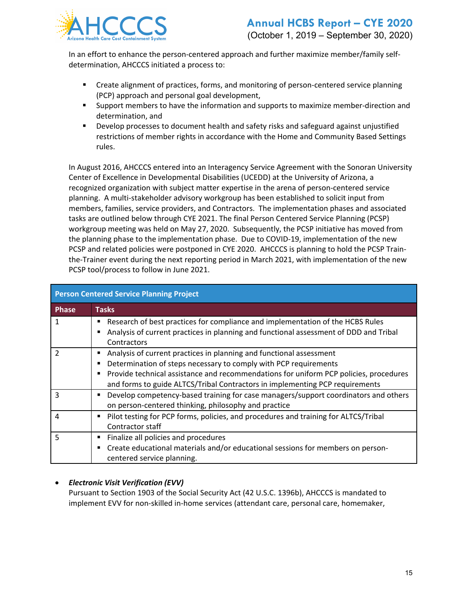

In an effort to enhance the person-centered approach and further maximize member/family selfdetermination, AHCCCS initiated a process to:

- Create alignment of practices, forms, and monitoring of person-centered service planning (PCP) approach and personal goal development,
- Support members to have the information and supports to maximize member-direction and determination, and
- **Develop processes to document health and safety risks and safeguard against unjustified** restrictions of member rights in accordance with the Home and Community Based Settings rules.

In August 2016, AHCCCS entered into an Interagency Service Agreement with the Sonoran University Center of Excellence in Developmental Disabilities (UCEDD) at the University of Arizona, a recognized organization with subject matter expertise in the arena of person-centered service planning. A multi-stakeholder advisory workgroup has been established to solicit input from members, families, service providers, and Contractors. The implementation phases and associated tasks are outlined below through CYE 2021. The final Person Centered Service Planning (PCSP) workgroup meeting was held on May 27, 2020. Subsequently, the PCSP initiative has moved from the planning phase to the implementation phase. Due to COVID-19, implementation of the new PCSP and related policies were postponed in CYE 2020. AHCCCS is planning to hold the PCSP Trainthe-Trainer event during the next reporting period in March 2021, with implementation of the new PCSP tool/process to follow in June 2021.

| <b>Person Centered Service Planning Project</b> |                                                                                                                                                                                                                                                                                                                  |  |  |  |  |
|-------------------------------------------------|------------------------------------------------------------------------------------------------------------------------------------------------------------------------------------------------------------------------------------------------------------------------------------------------------------------|--|--|--|--|
| <b>Phase</b>                                    | <b>Tasks</b>                                                                                                                                                                                                                                                                                                     |  |  |  |  |
| 1                                               | Research of best practices for compliance and implementation of the HCBS Rules<br>Analysis of current practices in planning and functional assessment of DDD and Tribal<br>Contractors                                                                                                                           |  |  |  |  |
| 2                                               | Analysis of current practices in planning and functional assessment<br>Determination of steps necessary to comply with PCP requirements<br>Provide technical assistance and recommendations for uniform PCP policies, procedures<br>and forms to guide ALTCS/Tribal Contractors in implementing PCP requirements |  |  |  |  |
| 3                                               | Develop competency-based training for case managers/support coordinators and others<br>on person-centered thinking, philosophy and practice                                                                                                                                                                      |  |  |  |  |
| 4                                               | Pilot testing for PCP forms, policies, and procedures and training for ALTCS/Tribal<br>Contractor staff                                                                                                                                                                                                          |  |  |  |  |
| 5                                               | Finalize all policies and procedures<br>Create educational materials and/or educational sessions for members on person-<br>centered service planning.                                                                                                                                                            |  |  |  |  |

#### • *Electronic Visit Verification (EVV)*

Pursuant to Section 1903 of the Social Security Act (42 U.S.C. 1396b), AHCCCS is mandated to implement EVV for non-skilled in-home services (attendant care, personal care, homemaker,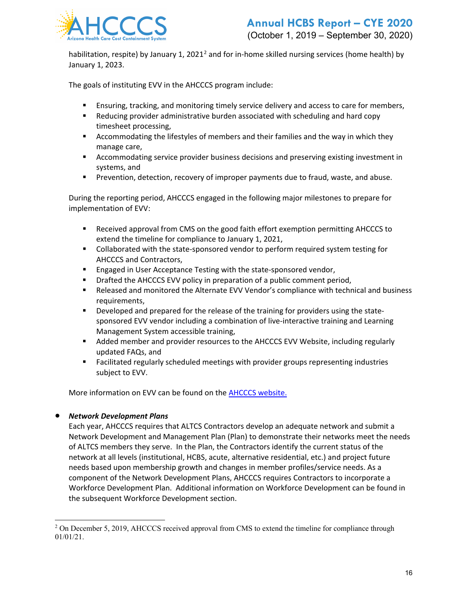

habilitation, respite) by January 1, [2](#page-15-0)021<sup>2</sup> and for in-home skilled nursing services (home health) by January 1, 2023.

The goals of instituting EVV in the AHCCCS program include:

- Ensuring, tracking, and monitoring timely service delivery and access to care for members,
- Reducing provider administrative burden associated with scheduling and hard copy timesheet processing,
- Accommodating the lifestyles of members and their families and the way in which they manage care,
- Accommodating service provider business decisions and preserving existing investment in systems, and
- **Prevention, detection, recovery of improper payments due to fraud, waste, and abuse.**

During the reporting period, AHCCCS engaged in the following major milestones to prepare for implementation of EVV:

- Received approval from CMS on the good faith effort exemption permitting AHCCCS to extend the timeline for compliance to January 1, 2021,
- Collaborated with the state-sponsored vendor to perform required system testing for AHCCCS and Contractors,
- **Engaged in User Acceptance Testing with the state-sponsored vendor,**
- **•** Drafted the AHCCCS EVV policy in preparation of a public comment period,
- Released and monitored the Alternate EVV Vendor's compliance with technical and business requirements,
- **PED 2** Developed and prepared for the release of the training for providers using the statesponsored EVV vendor including a combination of live-interactive training and Learning Management System accessible training,
- Added member and provider resources to the AHCCCS EVV Website, including regularly updated FAQs, and
- Facilitated regularly scheduled meetings with provider groups representing industries subject to EVV.

More information on EVV can be found on the [AHCCCS website.](http://www.azahcccs.gov/evv)

#### • *Network Development Plans*

Each year, AHCCCS requires that ALTCS Contractors develop an adequate network and submit a Network Development and Management Plan (Plan) to demonstrate their networks meet the needs of ALTCS members they serve. In the Plan, the Contractors identify the current status of the network at all levels (institutional, HCBS, acute, alternative residential, etc.) and project future needs based upon membership growth and changes in member profiles/service needs. As a component of the Network Development Plans, AHCCCS requires Contractors to incorporate a Workforce Development Plan. Additional information on Workforce Development can be found in the subsequent Workforce Development section.

<span id="page-15-0"></span><sup>&</sup>lt;sup>2</sup> On December 5, 2019, AHCCCS received approval from CMS to extend the timeline for compliance through 01/01/21.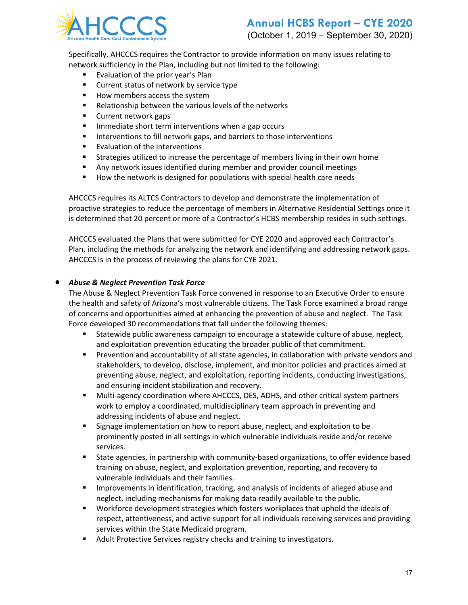

Specifically, AHCCCS requires the Contractor to provide information on many issues relating to network sufficiency in the Plan, including but not limited to the following:

- Evaluation of the prior year's Plan
- **EXECUTE:** Current status of network by service type
- How members access the system
- **Relationship between the various levels of the networks**
- **Current network gaps**
- **IMMEDIATE:** Immediate short term interventions when a gap occurs
- **Interventions to fill network gaps, and barriers to those interventions**
- **Evaluation of the interventions**
- Strategies utilized to increase the percentage of members living in their own home
- Any network issues identified during member and provider council meetings
- **How the network is designed for populations with special health care needs**

AHCCCS requires its ALTCS Contractors to develop and demonstrate the implementation of proactive strategies to reduce the percentage of members in Alternative Residential Settings once it is determined that 20 percent or more of a Contractor's HCBS membership resides in such settings.

AHCCCS evaluated the Plans that were submitted for CYE 2020 and approved each Contractor's Plan, including the methods for analyzing the network and identifying and addressing network gaps. AHCCCS is in the process of reviewing the plans for CYE 2021.

#### • *Abuse & Neglect Prevention Task Force*

The Abuse & Neglect Prevention Task Force convened in response to an Executive Order to ensure the health and safety of Arizona's most vulnerable citizens. The Task Force examined a broad range of concerns and opportunities aimed at enhancing the prevention of abuse and neglect. The Task Force developed 30 recommendations that fall under the following themes:

- Statewide public awareness campaign to encourage a statewide culture of abuse, neglect, and exploitation prevention educating the broader public of that commitment.
- **Prevention and accountability of all state agencies, in collaboration with private vendors and** stakeholders, to develop, disclose, implement, and monitor policies and practices aimed at preventing abuse, neglect, and exploitation, reporting incidents, conducting investigations, and ensuring incident stabilization and recovery.
- Multi-agency coordination where AHCCCS, DES, ADHS, and other critical system partners work to employ a coordinated, multidisciplinary team approach in preventing and addressing incidents of abuse and neglect.
- **Signage implementation on how to report abuse, neglect, and exploitation to be** prominently posted in all settings in which vulnerable individuals reside and/or receive services.
- State agencies, in partnership with community-based organizations, to offer evidence based training on abuse, neglect, and exploitation prevention, reporting, and recovery to vulnerable individuals and their families.
- **IMPROVEMENTS IN IDENTIFICATION, tracking, and analysis of incidents of alleged abuse and** neglect, including mechanisms for making data readily available to the public.
- Workforce development strategies which fosters workplaces that uphold the ideals of respect, attentiveness, and active support for all individuals receiving services and providing services within the State Medicaid program.
- Adult Protective Services registry checks and training to investigators.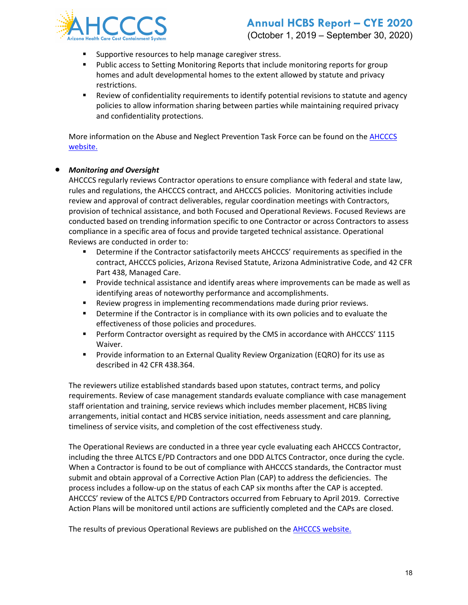

### **Annual HCBS Report – CYE 2020** (October 1, 2019 – September 30, 2020)

- **Supportive resources to help manage caregiver stress.**
- **Public access to Setting Monitoring Reports that include monitoring reports for group** homes and adult developmental homes to the extent allowed by statute and privacy restrictions.
- Review of confidentiality requirements to identify potential revisions to statute and agency policies to allow information sharing between parties while maintaining required privacy and confidentiality protections.

More information on the Abuse and Neglect Prevention Task Force can be found on the [AHCCCS](https://www.azahcccs.gov/AHCCCS/CommitteesAndWorkgroups/abuseneglect.html)  [website.](https://www.azahcccs.gov/AHCCCS/CommitteesAndWorkgroups/abuseneglect.html)

#### • *Monitoring and Oversight*

AHCCCS regularly reviews Contractor operations to ensure compliance with federal and state law, rules and regulations, the AHCCCS contract, and AHCCCS policies. Monitoring activities include review and approval of contract deliverables, regular coordination meetings with Contractors, provision of technical assistance, and both Focused and Operational Reviews. Focused Reviews are conducted based on trending information specific to one Contractor or across Contractors to assess compliance in a specific area of focus and provide targeted technical assistance. Operational Reviews are conducted in order to:

- Determine if the Contractor satisfactorily meets AHCCCS' requirements as specified in the contract, AHCCCS policies, Arizona Revised Statute, Arizona Administrative Code, and 42 CFR Part 438, Managed Care.
- Provide technical assistance and identify areas where improvements can be made as well as identifying areas of noteworthy performance and accomplishments.
- Review progress in implementing recommendations made during prior reviews.
- **PEDETE:** Determine if the Contractor is in compliance with its own policies and to evaluate the effectiveness of those policies and procedures.
- Perform Contractor oversight as required by the CMS in accordance with AHCCCS' 1115 Waiver.
- **Provide information to an External Quality Review Organization (EQRO) for its use as** described in 42 CFR 438.364.

The reviewers utilize established standards based upon statutes, contract terms, and policy requirements. Review of case management standards evaluate compliance with case management staff orientation and training, service reviews which includes member placement, HCBS living arrangements, initial contact and HCBS service initiation, needs assessment and care planning, timeliness of service visits, and completion of the cost effectiveness study.

The Operational Reviews are conducted in a three year cycle evaluating each AHCCCS Contractor, including the three ALTCS E/PD Contractors and one DDD ALTCS Contractor, once during the cycle. When a Contractor is found to be out of compliance with AHCCCS standards, the Contractor must submit and obtain approval of a Corrective Action Plan (CAP) to address the deficiencies. The process includes a follow-up on the status of each CAP six months after the CAP is accepted. AHCCCS' review of the ALTCS E/PD Contractors occurred from February to April 2019. Corrective Action Plans will be monitored until actions are sufficiently completed and the CAPs are closed.

The results of previous Operational Reviews are published on the **AHCCCS website.**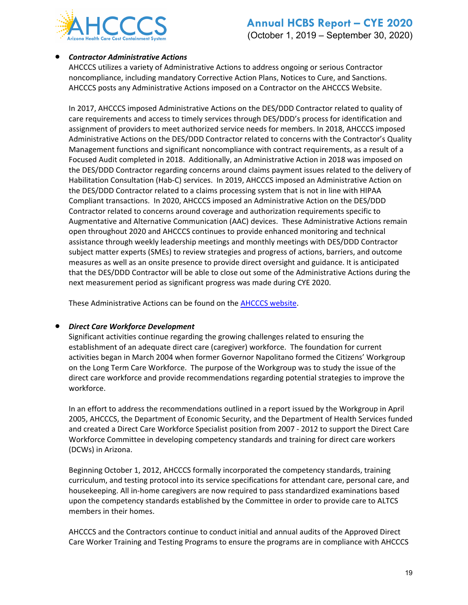

#### • *Contractor Administrative Actions*

AHCCCS utilizes a variety of Administrative Actions to address ongoing or serious Contractor noncompliance, including mandatory Corrective Action Plans, Notices to Cure, and Sanctions. AHCCCS posts any Administrative Actions imposed on a Contractor on the AHCCCS Website.

In 2017, AHCCCS imposed Administrative Actions on the DES/DDD Contractor related to quality of care requirements and access to timely services through DES/DDD's process for identification and assignment of providers to meet authorized service needs for members. In 2018, AHCCCS imposed Administrative Actions on the DES/DDD Contractor related to concerns with the Contractor's Quality Management functions and significant noncompliance with contract requirements, as a result of a Focused Audit completed in 2018. Additionally, an Administrative Action in 2018 was imposed on the DES/DDD Contractor regarding concerns around claims payment issues related to the delivery of Habilitation Consultation (Hab-C) services. In 2019, AHCCCS imposed an Administrative Action on the DES/DDD Contractor related to a claims processing system that is not in line with HIPAA Compliant transactions. In 2020, AHCCCS imposed an Administrative Action on the DES/DDD Contractor related to concerns around coverage and authorization requirements specific to Augmentative and Alternative Communication (AAC) devices. These Administrative Actions remain open throughout 2020 and AHCCCS continues to provide enhanced monitoring and technical assistance through weekly leadership meetings and monthly meetings with DES/DDD Contractor subject matter experts (SMEs) to review strategies and progress of actions, barriers, and outcome measures as well as an onsite presence to provide direct oversight and guidance. It is anticipated that the DES/DDD Contractor will be able to close out some of the Administrative Actions during the next measurement period as significant progress was made during CYE 2020.

These Administrative Actions can be found on the [AHCCCS website.](https://www.azahcccs.gov/Resources/OversightOfHealthPlans/AdministrativeActions/)

#### • *Direct Care Workforce Development*

Significant activities continue regarding the growing challenges related to ensuring the establishment of an adequate direct care (caregiver) workforce. The foundation for current activities began in March 2004 when former Governor Napolitano formed the Citizens' Workgroup on the Long Term Care Workforce. The purpose of the Workgroup was to study the issue of the direct care workforce and provide recommendations regarding potential strategies to improve the workforce.

In an effort to address the recommendations outlined in a report issued by the Workgroup in April 2005, AHCCCS, the Department of Economic Security, and the Department of Health Services funded and created a Direct Care Workforce Specialist position from 2007 - 2012 to support the Direct Care Workforce Committee in developing competency standards and training for direct care workers (DCWs) in Arizona.

Beginning October 1, 2012, AHCCCS formally incorporated the competency standards, training curriculum, and testing protocol into its service specifications for attendant care, personal care, and housekeeping. All in-home caregivers are now required to pass standardized examinations based upon the competency standards established by the Committee in order to provide care to ALTCS members in their homes.

AHCCCS and the Contractors continue to conduct initial and annual audits of the Approved Direct Care Worker Training and Testing Programs to ensure the programs are in compliance with AHCCCS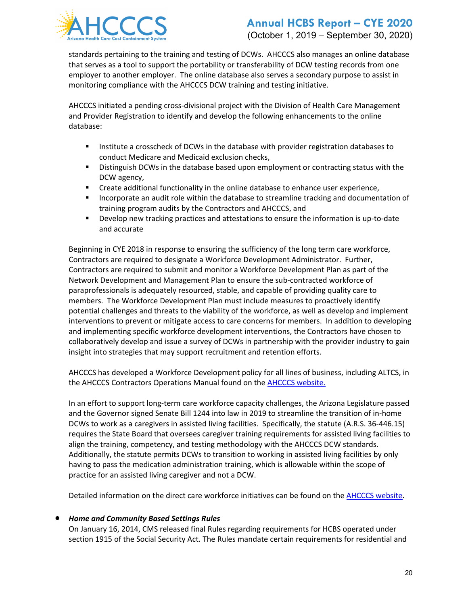

## **Annual HCBS Report – CYE 2020** (October 1, 2019 – September 30, 2020)

standards pertaining to the training and testing of DCWs. AHCCCS also manages an online database that serves as a tool to support the portability or transferability of DCW testing records from one employer to another employer. The online database also serves a secondary purpose to assist in monitoring compliance with the AHCCCS DCW training and testing initiative.

AHCCCS initiated a pending cross-divisional project with the Division of Health Care Management and Provider Registration to identify and develop the following enhancements to the online database:

- **Institute a crosscheck of DCWs in the database with provider registration databases to** conduct Medicare and Medicaid exclusion checks,
- **Distinguish DCWs in the database based upon employment or contracting status with the** DCW agency,
- Create additional functionality in the online database to enhance user experience,
- Incorporate an audit role within the database to streamline tracking and documentation of training program audits by the Contractors and AHCCCS, and
- Develop new tracking practices and attestations to ensure the information is up-to-date and accurate

Beginning in CYE 2018 in response to ensuring the sufficiency of the long term care workforce, Contractors are required to designate a Workforce Development Administrator. Further, Contractors are required to submit and monitor a Workforce Development Plan as part of the Network Development and Management Plan to ensure the sub-contracted workforce of paraprofessionals is adequately resourced, stable, and capable of providing quality care to members. The Workforce Development Plan must include measures to proactively identify potential challenges and threats to the viability of the workforce, as well as develop and implement interventions to prevent or mitigate access to care concerns for members. In addition to developing and implementing specific workforce development interventions, the Contractors have chosen to collaboratively develop and issue a survey of DCWs in partnership with the provider industry to gain insight into strategies that may support recruitment and retention efforts.

AHCCCS has developed a Workforce Development policy for all lines of business, including ALTCS, in the AHCCCS Contractors Operations Manual found on the [AHCCCS website.](https://azahcccs.gov/shared/Downloads/ACOM/PolicyFiles/400/407_Workforce_Development.pdf)

In an effort to support long-term care workforce capacity challenges, the Arizona Legislature passed and the Governor signed Senate Bill 1244 into law in 2019 to streamline the transition of in-home DCWs to work as a caregivers in assisted living facilities. Specifically, the statute (A.R.S. 36-446.15) requires the State Board that oversees caregiver training requirements for assisted living facilities to align the training, competency, and testing methodology with the AHCCCS DCW standards. Additionally, the statute permits DCWs to transition to working in assisted living facilities by only having to pass the medication administration training, which is allowable within the scope of practice for an assisted living caregiver and not a DCW.

Detailed information on the direct care workforce initiatives can be found on the [AHCCCS website.](https://www.azahcccs.gov/PlansProviders/CurrentProviders/DCW/)

#### • *Home and Community Based Settings Rules*

On January 16, 2014, CMS released final Rules regarding requirements for HCBS operated under section 1915 of the Social Security Act. The Rules mandate certain requirements for residential and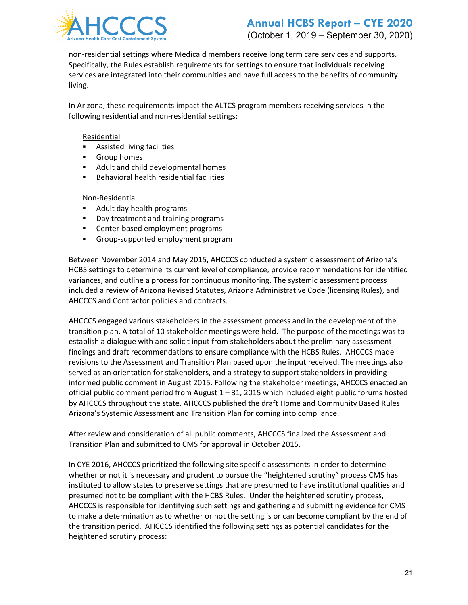

## **Annual HCBS Report – CYE 2020** (October 1, 2019 – September 30, 2020)

non-residential settings where Medicaid members receive long term care services and supports. Specifically, the Rules establish requirements for settings to ensure that individuals receiving services are integrated into their communities and have full access to the benefits of community living.

In Arizona, these requirements impact the ALTCS program members receiving services in the following residential and non-residential settings:

#### Residential

- **Assisted living facilities**
- **Group homes**
- Adult and child developmental homes
- **Behavioral health residential facilities**

#### Non-Residential

- Adult day health programs
- **Day treatment and training programs**
- **EXEC** Center-based employment programs
- Group-supported employment program

Between November 2014 and May 2015, AHCCCS conducted a systemic assessment of Arizona's HCBS settings to determine its current level of compliance, provide recommendations for identified variances, and outline a process for continuous monitoring. The systemic assessment process included a review of Arizona Revised Statutes, Arizona Administrative Code (licensing Rules), and AHCCCS and Contractor policies and contracts.

AHCCCS engaged various stakeholders in the assessment process and in the development of the transition plan. A total of 10 stakeholder meetings were held. The purpose of the meetings was to establish a dialogue with and solicit input from stakeholders about the preliminary assessment findings and draft recommendations to ensure compliance with the HCBS Rules. AHCCCS made revisions to the Assessment and Transition Plan based upon the input received. The meetings also served as an orientation for stakeholders, and a strategy to support stakeholders in providing informed public comment in August 2015. Following the stakeholder meetings, AHCCCS enacted an official public comment period from August 1 – 31, 2015 which included eight public forums hosted by AHCCCS throughout the state. AHCCCS published the draft Home and Community Based Rules Arizona's Systemic Assessment and Transition Plan for coming into compliance.

After review and consideration of all public comments, AHCCCS finalized the Assessment and Transition Plan and submitted to CMS for approval in October 2015.

In CYE 2016, AHCCCS prioritized the following site specific assessments in order to determine whether or not it is necessary and prudent to pursue the "heightened scrutiny" process CMS has instituted to allow states to preserve settings that are presumed to have institutional qualities and presumed not to be compliant with the HCBS Rules. Under the heightened scrutiny process, AHCCCS is responsible for identifying such settings and gathering and submitting evidence for CMS to make a determination as to whether or not the setting is or can become compliant by the end of the transition period. AHCCCS identified the following settings as potential candidates for the heightened scrutiny process: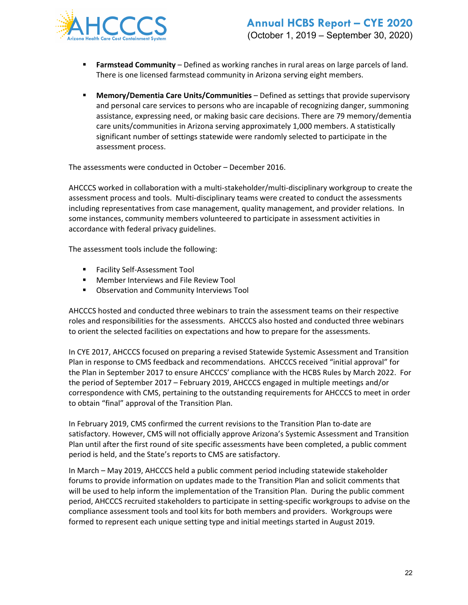

- **Farmstead Community** Defined as working ranches in rural areas on large parcels of land. There is one licensed farmstead community in Arizona serving eight members.
- **Memory/Dementia Care Units/Communities** Defined as settings that provide supervisory and personal care services to persons who are incapable of recognizing danger, summoning assistance, expressing need, or making basic care decisions. There are 79 memory/dementia care units/communities in Arizona serving approximately 1,000 members. A statistically significant number of settings statewide were randomly selected to participate in the assessment process.

The assessments were conducted in October – December 2016.

AHCCCS worked in collaboration with a multi-stakeholder/multi-disciplinary workgroup to create the assessment process and tools. Multi-disciplinary teams were created to conduct the assessments including representatives from case management, quality management, and provider relations. In some instances, community members volunteered to participate in assessment activities in accordance with federal privacy guidelines.

The assessment tools include the following:

- Facility Self-Assessment Tool
- **Member Interviews and File Review Tool**
- **Observation and Community Interviews Tool**

AHCCCS hosted and conducted three webinars to train the assessment teams on their respective roles and responsibilities for the assessments. AHCCCS also hosted and conducted three webinars to orient the selected facilities on expectations and how to prepare for the assessments.

In CYE 2017, AHCCCS focused on preparing a revised Statewide Systemic Assessment and Transition Plan in response to CMS feedback and recommendations. AHCCCS received "initial approval" for the Plan in September 2017 to ensure AHCCCS' compliance with the HCBS Rules by March 2022. For the period of September 2017 – February 2019, AHCCCS engaged in multiple meetings and/or correspondence with CMS, pertaining to the outstanding requirements for AHCCCS to meet in order to obtain "final" approval of the Transition Plan.

In February 2019, CMS confirmed the current revisions to the Transition Plan to-date are satisfactory. However, CMS will not officially approve Arizona's Systemic Assessment and Transition Plan until after the first round of site specific assessments have been completed, a public comment period is held, and the State's reports to CMS are satisfactory.

In March – May 2019, AHCCCS held a public comment period including statewide stakeholder forums to provide information on updates made to the Transition Plan and solicit comments that will be used to help inform the implementation of the Transition Plan. During the public comment period, AHCCCS recruited stakeholders to participate in setting-specific workgroups to advise on the compliance assessment tools and tool kits for both members and providers. Workgroups were formed to represent each unique setting type and initial meetings started in August 2019.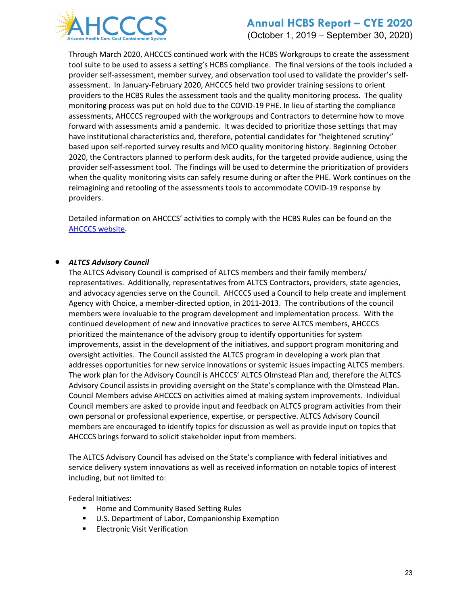

(October 1, 2019 – September 30, 2020)

Through March 2020, AHCCCS continued work with the HCBS Workgroups to create the assessment tool suite to be used to assess a setting's HCBS compliance. The final versions of the tools included a provider self-assessment, member survey, and observation tool used to validate the provider's selfassessment. In January-February 2020, AHCCCS held two provider training sessions to orient providers to the HCBS Rules the assessment tools and the quality monitoring process. The quality monitoring process was put on hold due to the COVID-19 PHE. In lieu of starting the compliance assessments, AHCCCS regrouped with the workgroups and Contractors to determine how to move forward with assessments amid a pandemic. It was decided to prioritize those settings that may have institutional characteristics and, therefore, potential candidates for "heightened scrutiny" based upon self-reported survey results and MCO quality monitoring history. Beginning October 2020, the Contractors planned to perform desk audits, for the targeted provide audience, using the provider self-assessment tool. The findings will be used to determine the prioritization of providers when the quality monitoring visits can safely resume during or after the PHE. Work continues on the reimagining and retooling of the assessments tools to accommodate COVID-19 response by providers.

Detailed information on AHCCCS' activities to comply with the HCBS Rules can be found on the [AHCCCS website.](https://www.azahcccs.gov/shared/HCBS/)

#### • *ALTCS Advisory Council*

The ALTCS Advisory Council is comprised of ALTCS members and their family members/ representatives. Additionally, representatives from ALTCS Contractors, providers, state agencies, and advocacy agencies serve on the Council. AHCCCS used a Council to help create and implement Agency with Choice, a member-directed option, in 2011-2013. The contributions of the council members were invaluable to the program development and implementation process. With the continued development of new and innovative practices to serve ALTCS members, AHCCCS prioritized the maintenance of the advisory group to identify opportunities for system improvements, assist in the development of the initiatives, and support program monitoring and oversight activities. The Council assisted the ALTCS program in developing a work plan that addresses opportunities for new service innovations or systemic issues impacting ALTCS members. The work plan for the Advisory Council is AHCCCS' ALTCS Olmstead Plan and, therefore the ALTCS Advisory Council assists in providing oversight on the State's compliance with the Olmstead Plan. Council Members advise AHCCCS on activities aimed at making system improvements. Individual Council members are asked to provide input and feedback on ALTCS program activities from their own personal or professional experience, expertise, or perspective. ALTCS Advisory Council members are encouraged to identify topics for discussion as well as provide input on topics that AHCCCS brings forward to solicit stakeholder input from members.

The ALTCS Advisory Council has advised on the State's compliance with federal initiatives and service delivery system innovations as well as received information on notable topics of interest including, but not limited to:

Federal Initiatives:

- **Home and Community Based Setting Rules**
- U.S. Department of Labor, Companionship Exemption
- **Electronic Visit Verification**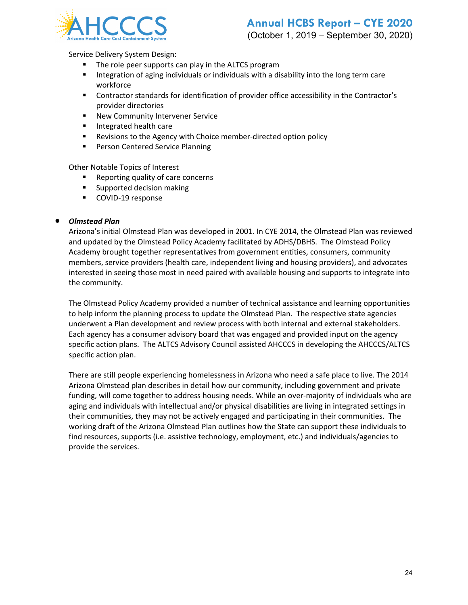

(October 1, 2019 – September 30, 2020)

Service Delivery System Design:

- The role peer supports can play in the ALTCS program
- **Integration of aging individuals or individuals with a disability into the long term care** workforce
- Contractor standards for identification of provider office accessibility in the Contractor's provider directories
- **New Community Intervener Service**
- **Integrated health care**
- **Revisions to the Agency with Choice member-directed option policy**
- **Person Centered Service Planning**

Other Notable Topics of Interest

- Reporting quality of care concerns
- **Supported decision making**
- **COVID-19 response**

#### • *Olmstead Plan*

Arizona's initial Olmstead Plan was developed in 2001. In CYE 2014, the Olmstead Plan was reviewed and updated by the Olmstead Policy Academy facilitated by ADHS/DBHS. The Olmstead Policy Academy brought together representatives from government entities, consumers, community members, service providers (health care, independent living and housing providers), and advocates interested in seeing those most in need paired with available housing and supports to integrate into the community.

The Olmstead Policy Academy provided a number of technical assistance and learning opportunities to help inform the planning process to update the Olmstead Plan. The respective state agencies underwent a Plan development and review process with both internal and external stakeholders. Each agency has a consumer advisory board that was engaged and provided input on the agency specific action plans. The ALTCS Advisory Council assisted AHCCCS in developing the AHCCCS/ALTCS specific action plan.

There are still people experiencing homelessness in Arizona who need a safe place to live. The 2014 Arizona Olmstead plan describes in detail how our community, including government and private funding, will come together to address housing needs. While an over-majority of individuals who are aging and individuals with intellectual and/or physical disabilities are living in integrated settings in their communities, they may not be actively engaged and participating in their communities. The working draft of the Arizona Olmstead Plan outlines how the State can support these individuals to find resources, supports (i.e. assistive technology, employment, etc.) and individuals/agencies to provide the services.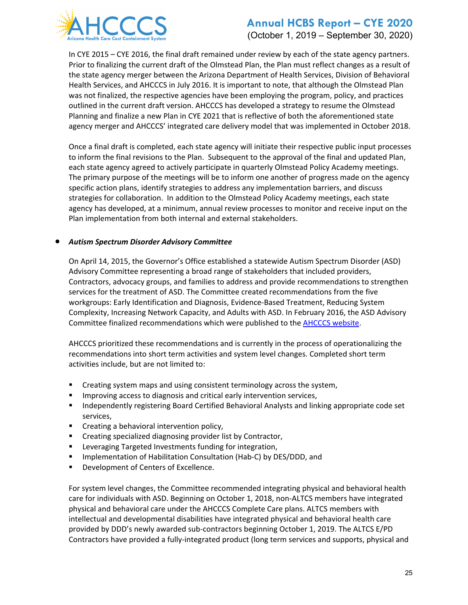

(October 1, 2019 – September 30, 2020)

In CYE 2015 – CYE 2016, the final draft remained under review by each of the state agency partners. Prior to finalizing the current draft of the Olmstead Plan, the Plan must reflect changes as a result of the state agency merger between the Arizona Department of Health Services, Division of Behavioral Health Services, and AHCCCS in July 2016. It is important to note, that although the Olmstead Plan was not finalized, the respective agencies have been employing the program, policy, and practices outlined in the current draft version. AHCCCS has developed a strategy to resume the Olmstead Planning and finalize a new Plan in CYE 2021 that is reflective of both the aforementioned state agency merger and AHCCCS' integrated care delivery model that was implemented in October 2018.

Once a final draft is completed, each state agency will initiate their respective public input processes to inform the final revisions to the Plan. Subsequent to the approval of the final and updated Plan, each state agency agreed to actively participate in quarterly Olmstead Policy Academy meetings. The primary purpose of the meetings will be to inform one another of progress made on the agency specific action plans, identify strategies to address any implementation barriers, and discuss strategies for collaboration. In addition to the Olmstead Policy Academy meetings, each state agency has developed, at a minimum, annual review processes to monitor and receive input on the Plan implementation from both internal and external stakeholders.

#### • *Autism Spectrum Disorder Advisory Committee*

On April 14, 2015, the Governor's Office established a statewide Autism Spectrum Disorder (ASD) Advisory Committee representing a broad range of stakeholders that included providers, Contractors, advocacy groups, and families to address and provide recommendations to strengthen services for the treatment of ASD. The Committee created recommendations from the five workgroups: Early Identification and Diagnosis, Evidence-Based Treatment, Reducing System Complexity, Increasing Network Capacity, and Adults with ASD. In February 2016, the ASD Advisory Committee finalized recommendations which were published to th[e AHCCCS website.](https://www.azahcccs.gov/shared/ASD.html)

AHCCCS prioritized these recommendations and is currently in the process of operationalizing the recommendations into short term activities and system level changes. Completed short term activities include, but are not limited to:

- **EXP** Creating system maps and using consistent terminology across the system,
- Improving access to diagnosis and critical early intervention services,
- **Independently registering Board Certified Behavioral Analysts and linking appropriate code set** services,
- **EXECT** Creating a behavioral intervention policy,
- **EXECT** Creating specialized diagnosing provider list by Contractor,
- **EXECTED EXECTED INVESTMENTS** Funding for integration,
- **IMPLEMATE:** Implementation of Habilitation Consultation (Hab-C) by DES/DDD, and
- **Development of Centers of Excellence.**

For system level changes, the Committee recommended integrating physical and behavioral health care for individuals with ASD. Beginning on October 1, 2018, non-ALTCS members have integrated physical and behavioral care under the AHCCCS Complete Care plans. ALTCS members with intellectual and developmental disabilities have integrated physical and behavioral health care provided by DDD's newly awarded sub-contractors beginning October 1, 2019. The ALTCS E/PD Contractors have provided a fully-integrated product (long term services and supports, physical and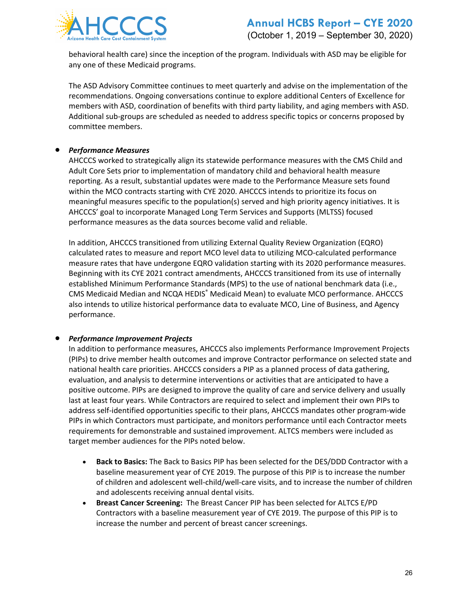

behavioral health care) since the inception of the program. Individuals with ASD may be eligible for any one of these Medicaid programs.

The ASD Advisory Committee continues to meet quarterly and advise on the implementation of the recommendations. Ongoing conversations continue to explore additional Centers of Excellence for members with ASD, coordination of benefits with third party liability, and aging members with ASD. Additional sub-groups are scheduled as needed to address specific topics or concerns proposed by committee members.

#### • *Performance Measures*

AHCCCS worked to strategically align its statewide performance measures with the CMS Child and Adult Core Sets prior to implementation of mandatory child and behavioral health measure reporting. As a result, substantial updates were made to the Performance Measure sets found within the MCO contracts starting with CYE 2020. AHCCCS intends to prioritize its focus on meaningful measures specific to the population(s) served and high priority agency initiatives. It is AHCCCS' goal to incorporate Managed Long Term Services and Supports (MLTSS) focused performance measures as the data sources become valid and reliable.

In addition, AHCCCS transitioned from utilizing External Quality Review Organization (EQRO) calculated rates to measure and report MCO level data to utilizing MCO-calculated performance measure rates that have undergone EQRO validation starting with its 2020 performance measures. Beginning with its CYE 2021 contract amendments, AHCCCS transitioned from its use of internally established Minimum Performance Standards (MPS) to the use of national benchmark data (i.e., CMS Medicaid Median and NCQA HEDIS® Medicaid Mean) to evaluate MCO performance. AHCCCS also intends to utilize historical performance data to evaluate MCO, Line of Business, and Agency performance.

#### • *Performance Improvement Projects*

In addition to performance measures, AHCCCS also implements Performance Improvement Projects (PIPs) to drive member health outcomes and improve Contractor performance on selected state and national health care priorities. AHCCCS considers a PIP as a planned process of data gathering, evaluation, and analysis to determine interventions or activities that are anticipated to have a positive outcome. PIPs are designed to improve the quality of care and service delivery and usually last at least four years. While Contractors are required to select and implement their own PIPs to address self-identified opportunities specific to their plans, AHCCCS mandates other program-wide PIPs in which Contractors must participate, and monitors performance until each Contractor meets requirements for demonstrable and sustained improvement. ALTCS members were included as target member audiences for the PIPs noted below.

- **Back to Basics:** The Back to Basics PIP has been selected for the DES/DDD Contractor with a baseline measurement year of CYE 2019. The purpose of this PIP is to increase the number of children and adolescent well-child/well-care visits, and to increase the number of children and adolescents receiving annual dental visits.
- **Breast Cancer Screening:** The Breast Cancer PIP has been selected for ALTCS E/PD Contractors with a baseline measurement year of CYE 2019. The purpose of this PIP is to increase the number and percent of breast cancer screenings.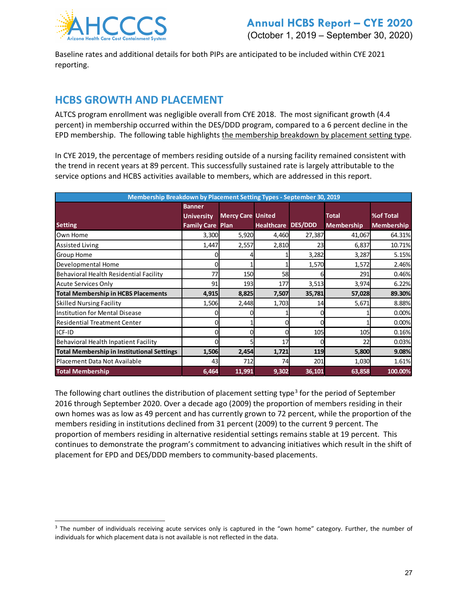

Baseline rates and additional details for both PIPs are anticipated to be included within CYE 2021 reporting.

# **HCBS GROWTH AND PLACEMENT**

ALTCS program enrollment was negligible overall from CYE 2018. The most significant growth (4.4 percent) in membership occurred within the DES/DDD program, compared to a 6 percent decline in the EPD membership. The following table highlights the membership breakdown by placement setting type.

In CYE 2019, the percentage of members residing outside of a nursing facility remained consistent with the trend in recent years at 89 percent. This successfully sustained rate is largely attributable to the service options and HCBS activities available to members, which are addressed in this report.

| Membership Breakdown by Placement Setting Types - September 30, 2019 |                         |                          |                   |                |                   |                   |
|----------------------------------------------------------------------|-------------------------|--------------------------|-------------------|----------------|-------------------|-------------------|
|                                                                      | <b>Banner</b>           |                          |                   |                |                   |                   |
|                                                                      | <b>University</b>       | <b>Mercy Care United</b> |                   |                | <b>Total</b>      | %of Total         |
| <b>Setting</b>                                                       | <b>Family Care Plan</b> |                          | <b>Healthcare</b> | <b>DES/DDD</b> | <b>Membership</b> | <b>Membership</b> |
| Own Home                                                             | 3,300                   | 5,920                    | 4,460             | 27,387         | 41,067            | 64.31%            |
| <b>Assisted Living</b>                                               | 1,447                   | 2,557                    | 2,810             | 23             | 6,837             | 10.71%            |
| <b>Group Home</b>                                                    |                         |                          |                   | 3,282          | 3,287             | 5.15%             |
| Developmental Home                                                   |                         |                          |                   | 1,570          | 1,572             | 2.46%             |
| Behavioral Health Residential Facility                               | 77                      | 150                      | 58                |                | 291               | 0.46%             |
| <b>Acute Services Only</b>                                           | 91                      | 193                      | 177               | 3,513          | 3,974             | 6.22%             |
| <b>Total Membership in HCBS Placements</b>                           | 4,915                   | 8,825                    | 7,507             | 35,781         | 57,028            | 89.30%            |
| <b>Skilled Nursing Facility</b>                                      | 1,506                   | 2,448                    | 1,703             | 14             | 5,671             | 8.88%             |
| <b>Institution for Mental Disease</b>                                |                         |                          |                   |                |                   | 0.00%             |
| <b>Residential Treatment Center</b>                                  |                         |                          |                   |                |                   | 0.00%             |
| ICF-ID                                                               |                         |                          |                   | 105            | 105               | 0.16%             |
| Behavioral Health Inpatient Facility                                 |                         |                          | 17                |                | 22                | 0.03%             |
| <b>Total Membership in Institutional Settings</b>                    | 1,506                   | 2,454                    | 1,721             | 119            | 5,800             | 9.08%             |
| Placement Data Not Available                                         | 43                      | 712                      | 74                | 201            | 1,030             | 1.61%             |
| <b>Total Membership</b>                                              | 6,464                   | 11,991                   | 9,302             | 36,101         | 63,858            | 100.00%           |

The following chart outlines the distribution of placement setting type<sup>[3](#page-26-0)</sup> for the period of September 2016 through September 2020. Over a decade ago (2009) the proportion of members residing in their own homes was as low as 49 percent and has currently grown to 72 percent, while the proportion of the members residing in institutions declined from 31 percent (2009) to the current 9 percent. The proportion of members residing in alternative residential settings remains stable at 19 percent. This continues to demonstrate the program's commitment to advancing initiatives which result in the shift of placement for EPD and DES/DDD members to community-based placements.

<span id="page-26-0"></span><sup>&</sup>lt;sup>3</sup> The number of individuals receiving acute services only is captured in the "own home" category. Further, the number of individuals for which placement data is not available is not reflected in the data.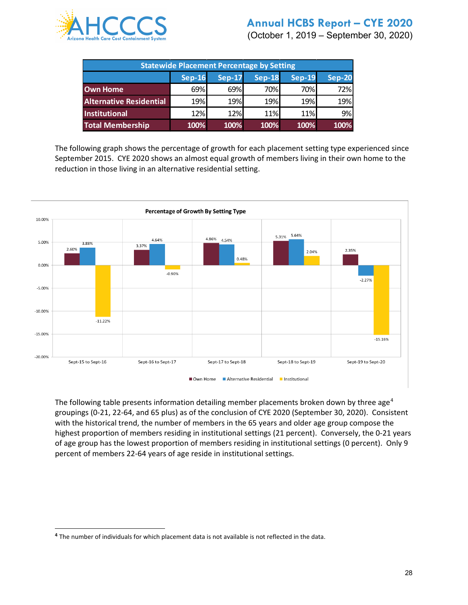

(October 1, 2019 – September 30, 2020)

| <b>Statewide Placement Percentage by Setting</b> |               |               |               |                        |               |
|--------------------------------------------------|---------------|---------------|---------------|------------------------|---------------|
|                                                  | <b>Sep-16</b> | <b>Sep-17</b> | <b>Sep-18</b> | $\sqrt{\text{Sep-19}}$ | <b>Sep-20</b> |
| <b>Own Home</b>                                  | 69%           | 69%           | 70%           | 70%                    | 72%           |
| <b>Alternative Residential</b>                   | 19%           | 19%           | 19%           | 19%                    | 19%           |
| Institutional                                    | 12%           | 12%           | 11%           | 11%                    | 9%            |
| <b>Total Membership</b>                          | 100%          | 100%          | 100%          | 100%                   | 100%          |

The following graph shows the percentage of growth for each placement setting type experienced since September 2015. CYE 2020 shows an almost equal growth of members living in their own home to the reduction in those living in an alternative residential setting.



The following table presents information detailing member placements broken down by three age<sup>[4](#page-27-0)</sup> groupings (0-21, 22-64, and 65 plus) as of the conclusion of CYE 2020 (September 30, 2020). Consistent with the historical trend, the number of members in the 65 years and older age group compose the highest proportion of members residing in institutional settings (21 percent). Conversely, the 0-21 years of age group has the lowest proportion of members residing in institutional settings (0 percent). Only 9 percent of members 22-64 years of age reside in institutional settings.

<span id="page-27-0"></span>**<sup>4</sup>** The number of individuals for which placement data is not available is not reflected in the data.